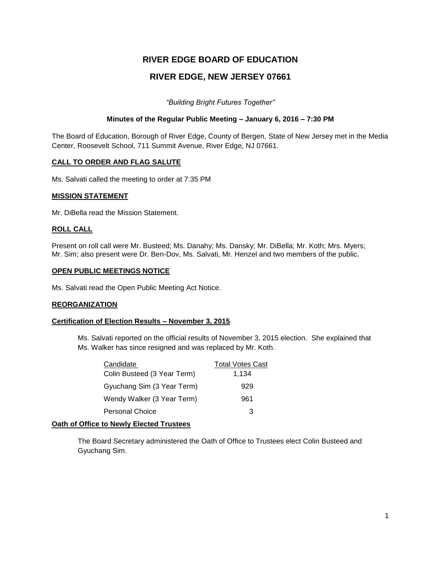# **RIVER EDGE BOARD OF EDUCATION RIVER EDGE, NEW JERSEY 07661**

*"Building Bright Futures Together"*

### **Minutes of the Regular Public Meeting – January 6, 2016 – 7:30 PM**

The Board of Education, Borough of River Edge, County of Bergen, State of New Jersey met in the Media Center, Roosevelt School, 711 Summit Avenue, River Edge, NJ 07661.

### **CALL TO ORDER AND FLAG SALUTE**

Ms. Salvati called the meeting to order at 7:35 PM

#### **MISSION STATEMENT**

Mr. DiBella read the Mission Statement.

#### **ROLL CALL**

Present on roll call were Mr. Busteed; Ms. Danahy; Ms. Dansky; Mr. DiBella; Mr. Koth; Mrs. Myers; Mr. Sim; also present were Dr. Ben-Dov, Ms. Salvati, Mr. Henzel and two members of the public.

#### **OPEN PUBLIC MEETINGS NOTICE**

Ms. Salvati read the Open Public Meeting Act Notice.

#### **REORGANIZATION**

### **Certification of Election Results – November 3, 2015**

Ms. Salvati reported on the official results of November 3, 2015 election. She explained that Ms. Walker has since resigned and was replaced by Mr. Koth.

| Candidate                   | <b>Total Votes Cast</b> |
|-----------------------------|-------------------------|
| Colin Busteed (3 Year Term) | 1,134                   |
| Gyuchang Sim (3 Year Term)  | 929                     |
| Wendy Walker (3 Year Term)  | 961                     |
| <b>Personal Choice</b>      | 3                       |

#### **Oath of Office to Newly Elected Trustees**

The Board Secretary administered the Oath of Office to Trustees elect Colin Busteed and Gyuchang Sim.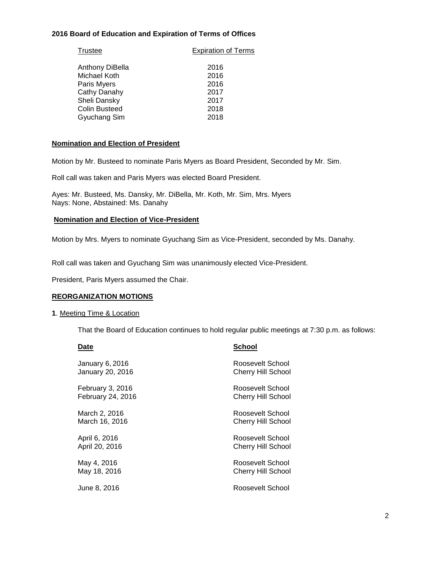### **2016 Board of Education and Expiration of Terms of Offices**

| <b>Trustee</b>       | <b>Expiration of Terms</b> |  |
|----------------------|----------------------------|--|
| Anthony DiBella      | 2016                       |  |
| Michael Koth         | 2016                       |  |
| Paris Myers          | 2016                       |  |
| Cathy Danahy         | 2017                       |  |
| Sheli Dansky         | 2017                       |  |
| <b>Colin Busteed</b> | 2018                       |  |
| Gyuchang Sim         | 2018                       |  |

#### **Nomination and Election of President**

Motion by Mr. Busteed to nominate Paris Myers as Board President, Seconded by Mr. Sim.

Roll call was taken and Paris Myers was elected Board President.

Ayes: Mr. Busteed, Ms. Dansky, Mr. DiBella, Mr. Koth, Mr. Sim, Mrs. Myers Nays: None, Abstained: Ms. Danahy

### **Nomination and Election of Vice-President**

Motion by Mrs. Myers to nominate Gyuchang Sim as Vice-President, seconded by Ms. Danahy.

Roll call was taken and Gyuchang Sim was unanimously elected Vice-President.

President, Paris Myers assumed the Chair.

#### **REORGANIZATION MOTIONS**

#### **1**. Meeting Time & Location

That the Board of Education continues to hold regular public meetings at 7:30 p.m. as follows:

| Date              | School                    |
|-------------------|---------------------------|
| January 6, 2016   | Roosevelt School          |
| January 20, 2016  | Cherry Hill School        |
| February 3, 2016  | Roosevelt School          |
| February 24, 2016 | <b>Cherry Hill School</b> |
| March 2, 2016     | Roosevelt School          |
| March 16, 2016    | <b>Cherry Hill School</b> |
| April 6, 2016     | Roosevelt School          |
| April 20, 2016    | Cherry Hill School        |
| May 4, 2016       | Roosevelt School          |
| May 18, 2016      | Cherry Hill School        |
| June 8, 2016      | Roosevelt School          |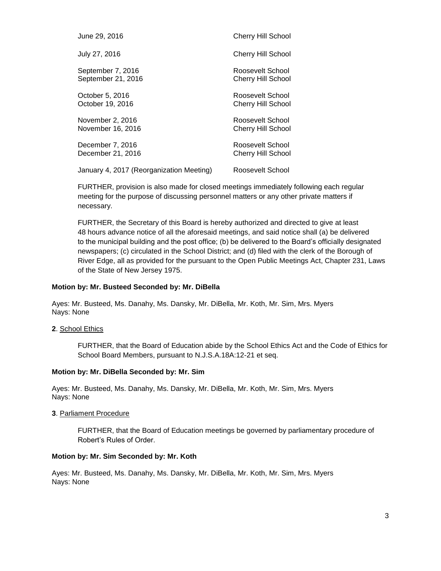| June 29, 2016                            | <b>Cherry Hill School</b> |
|------------------------------------------|---------------------------|
| July 27, 2016                            | <b>Cherry Hill School</b> |
| September 7, 2016                        | Roosevelt School          |
| September 21, 2016                       | <b>Cherry Hill School</b> |
| October 5, 2016                          | Roosevelt School          |
| October 19, 2016                         | <b>Cherry Hill School</b> |
| November 2, 2016                         | Roosevelt School          |
| November 16, 2016                        | <b>Cherry Hill School</b> |
| December 7, 2016                         | Roosevelt School          |
| December 21, 2016                        | <b>Cherry Hill School</b> |
| January 4, 2017 (Reorganization Meeting) | Roosevelt School          |

FURTHER, provision is also made for closed meetings immediately following each regular meeting for the purpose of discussing personnel matters or any other private matters if necessary.

FURTHER, the Secretary of this Board is hereby authorized and directed to give at least 48 hours advance notice of all the aforesaid meetings, and said notice shall (a) be delivered to the municipal building and the post office; (b) be delivered to the Board's officially designated newspapers; (c) circulated in the School District; and (d) filed with the clerk of the Borough of River Edge, all as provided for the pursuant to the Open Public Meetings Act, Chapter 231, Laws of the State of New Jersey 1975.

#### **Motion by: Mr. Busteed Seconded by: Mr. DiBella**

Ayes: Mr. Busteed, Ms. Danahy, Ms. Dansky, Mr. DiBella, Mr. Koth, Mr. Sim, Mrs. Myers Nays: None

**2**. School Ethics

FURTHER, that the Board of Education abide by the School Ethics Act and the Code of Ethics for School Board Members, pursuant to N.J.S.A.18A:12-21 et seq.

#### **Motion by: Mr. DiBella Seconded by: Mr. Sim**

Ayes: Mr. Busteed, Ms. Danahy, Ms. Dansky, Mr. DiBella, Mr. Koth, Mr. Sim, Mrs. Myers Nays: None

**3**. Parliament Procedure

FURTHER, that the Board of Education meetings be governed by parliamentary procedure of Robert's Rules of Order.

### **Motion by: Mr. Sim Seconded by: Mr. Koth**

Ayes: Mr. Busteed, Ms. Danahy, Ms. Dansky, Mr. DiBella, Mr. Koth, Mr. Sim, Mrs. Myers Nays: None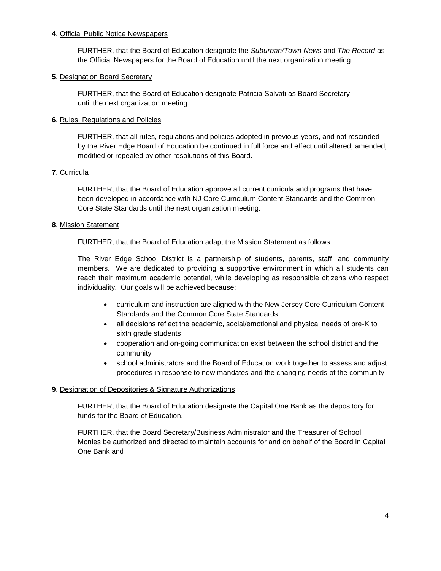### **4**. Official Public Notice Newspapers

FURTHER, that the Board of Education designate the *Suburban/Town News* and *The Record* as the Official Newspapers for the Board of Education until the next organization meeting.

### **5**. Designation Board Secretary

FURTHER, that the Board of Education designate Patricia Salvati as Board Secretary until the next organization meeting.

### **6**. Rules, Regulations and Policies

FURTHER, that all rules, regulations and policies adopted in previous years, and not rescinded by the River Edge Board of Education be continued in full force and effect until altered, amended, modified or repealed by other resolutions of this Board.

### **7**. Curricula

FURTHER, that the Board of Education approve all current curricula and programs that have been developed in accordance with NJ Core Curriculum Content Standards and the Common Core State Standards until the next organization meeting.

### **8**. Mission Statement

FURTHER, that the Board of Education adapt the Mission Statement as follows:

The River Edge School District is a partnership of students, parents, staff, and community members. We are dedicated to providing a supportive environment in which all students can reach their maximum academic potential, while developing as responsible citizens who respect individuality. Our goals will be achieved because:

- curriculum and instruction are aligned with the New Jersey Core Curriculum Content Standards and the Common Core State Standards
- all decisions reflect the academic, social/emotional and physical needs of pre-K to sixth grade students
- cooperation and on-going communication exist between the school district and the community
- school administrators and the Board of Education work together to assess and adjust procedures in response to new mandates and the changing needs of the community

### **9**. Designation of Depositories & Signature Authorizations

FURTHER, that the Board of Education designate the Capital One Bank as the depository for funds for the Board of Education.

FURTHER, that the Board Secretary/Business Administrator and the Treasurer of School Monies be authorized and directed to maintain accounts for and on behalf of the Board in Capital One Bank and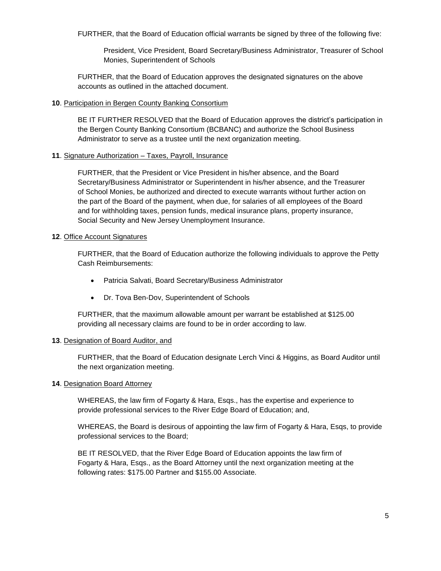FURTHER, that the Board of Education official warrants be signed by three of the following five:

President, Vice President, Board Secretary/Business Administrator, Treasurer of School Monies, Superintendent of Schools

FURTHER, that the Board of Education approves the designated signatures on the above accounts as outlined in the attached document.

#### **10**. Participation in Bergen County Banking Consortium

BE IT FURTHER RESOLVED that the Board of Education approves the district's participation in the Bergen County Banking Consortium (BCBANC) and authorize the School Business Administrator to serve as a trustee until the next organization meeting.

### **11**. Signature Authorization – Taxes, Payroll, Insurance

FURTHER, that the President or Vice President in his/her absence, and the Board Secretary/Business Administrator or Superintendent in his/her absence, and the Treasurer of School Monies, be authorized and directed to execute warrants without further action on the part of the Board of the payment, when due, for salaries of all employees of the Board and for withholding taxes, pension funds, medical insurance plans, property insurance, Social Security and New Jersey Unemployment Insurance.

### **12**. Office Account Signatures

FURTHER, that the Board of Education authorize the following individuals to approve the Petty Cash Reimbursements:

- Patricia Salvati, Board Secretary/Business Administrator
- Dr. Tova Ben-Dov, Superintendent of Schools

FURTHER, that the maximum allowable amount per warrant be established at \$125.00 providing all necessary claims are found to be in order according to law.

#### **13**. Designation of Board Auditor, and

FURTHER, that the Board of Education designate Lerch Vinci & Higgins, as Board Auditor until the next organization meeting.

#### **14**. Designation Board Attorney

WHEREAS, the law firm of Fogarty & Hara, Esqs., has the expertise and experience to provide professional services to the River Edge Board of Education; and,

WHEREAS, the Board is desirous of appointing the law firm of Fogarty & Hara, Esqs, to provide professional services to the Board;

BE IT RESOLVED, that the River Edge Board of Education appoints the law firm of Fogarty & Hara, Esqs., as the Board Attorney until the next organization meeting at the following rates: \$175.00 Partner and \$155.00 Associate.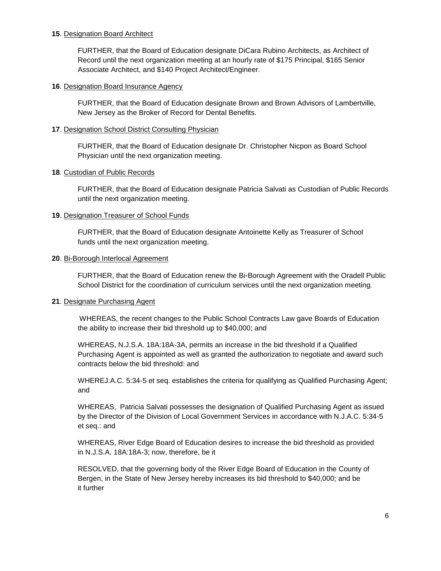#### **15**. Designation Board Architect

FURTHER, that the Board of Education designate DiCara Rubino Architects, as Architect of Record until the next organization meeting at an hourly rate of \$175 Principal, \$165 Senior Associate Architect, and \$140 Project Architect/Engineer.

#### **16**. Designation Board Insurance Agency

FURTHER, that the Board of Education designate Brown and Brown Advisors of Lambertville, New Jersey as the Broker of Record for Dental Benefits.

#### **17**. Designation School District Consulting Physician

FURTHER, that the Board of Education designate Dr. Christopher Nicpon as Board School Physician until the next organization meeting.

### **18**. Custodian of Public Records

FURTHER, that the Board of Education designate Patricia Salvati as Custodian of Public Records until the next organization meeting.

### **19**. Designation Treasurer of School Funds

FURTHER, that the Board of Education designate Antoinette Kelly as Treasurer of School funds until the next organization meeting.

#### **20**. Bi-Borough Interlocal Agreement

FURTHER, that the Board of Education renew the Bi-Borough Agreement with the Oradell Public School District for the coordination of curriculum services until the next organization meeting.

#### **21**. Designate Purchasing Agent

WHEREAS, the recent changes to the Public School Contracts Law gave Boards of Education the ability to increase their bid threshold up to \$40,000; and

WHEREAS, N.J.S.A. 18A:18A-3A, permits an increase in the bid threshold if a Qualified Purchasing Agent is appointed as well as granted the authorization to negotiate and award such contracts below the bid threshold: and

WHEREJ.A.C. 5:34-5 et seq. establishes the criteria for qualifying as Qualified Purchasing Agent; and

WHEREAS, Patricia Salvati possesses the designation of Qualified Purchasing Agent as issued by the Director of the Division of Local Government Services in accordance with N.J.A.C. 5:34-5 et seq.: and

WHEREAS, River Edge Board of Education desires to increase the bid threshold as provided in N.J.S.A. 18A:18A-3; now, therefore, be it

RESOLVED, that the governing body of the River Edge Board of Education in the County of Bergen, in the State of New Jersey hereby increases its bid threshold to \$40,000; and be it further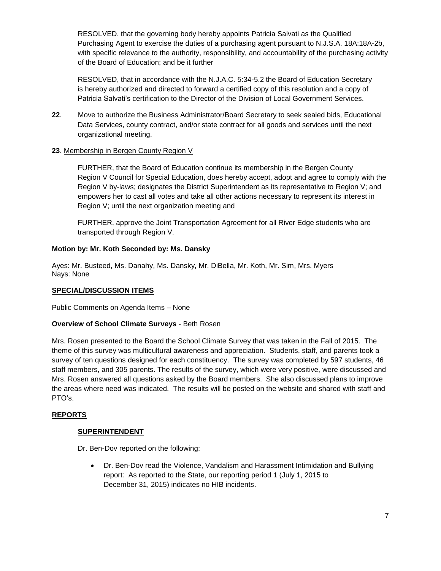RESOLVED, that the governing body hereby appoints Patricia Salvati as the Qualified Purchasing Agent to exercise the duties of a purchasing agent pursuant to N.J.S.A. 18A:18A-2b, with specific relevance to the authority, responsibility, and accountability of the purchasing activity of the Board of Education; and be it further

RESOLVED, that in accordance with the N.J.A.C. 5:34-5.2 the Board of Education Secretary is hereby authorized and directed to forward a certified copy of this resolution and a copy of Patricia Salvati's certification to the Director of the Division of Local Government Services.

- **22**. Move to authorize the Business Administrator/Board Secretary to seek sealed bids, Educational Data Services, county contract, and/or state contract for all goods and services until the next organizational meeting.
- **23**. Membership in Bergen County Region V

FURTHER, that the Board of Education continue its membership in the Bergen County Region V Council for Special Education, does hereby accept, adopt and agree to comply with the Region V by-laws; designates the District Superintendent as its representative to Region V; and empowers her to cast all votes and take all other actions necessary to represent its interest in Region V; until the next organization meeting and

FURTHER, approve the Joint Transportation Agreement for all River Edge students who are transported through Region V.

# **Motion by: Mr. Koth Seconded by: Ms. Dansky**

Ayes: Mr. Busteed, Ms. Danahy, Ms. Dansky, Mr. DiBella, Mr. Koth, Mr. Sim, Mrs. Myers Nays: None

### **SPECIAL/DISCUSSION ITEMS**

Public Comments on Agenda Items – None

### **Overview of School Climate Surveys** - Beth Rosen

Mrs. Rosen presented to the Board the School Climate Survey that was taken in the Fall of 2015. The theme of this survey was multicultural awareness and appreciation. Students, staff, and parents took a survey of ten questions designed for each constituency. The survey was completed by 597 students, 46 staff members, and 305 parents. The results of the survey, which were very positive, were discussed and Mrs. Rosen answered all questions asked by the Board members. She also discussed plans to improve the areas where need was indicated. The results will be posted on the website and shared with staff and PTO's.

### **REPORTS**

### **SUPERINTENDENT**

Dr. Ben-Dov reported on the following:

 Dr. Ben-Dov read the Violence, Vandalism and Harassment Intimidation and Bullying report: As reported to the State, our reporting period 1 (July 1, 2015 to December 31, 2015) indicates no HIB incidents.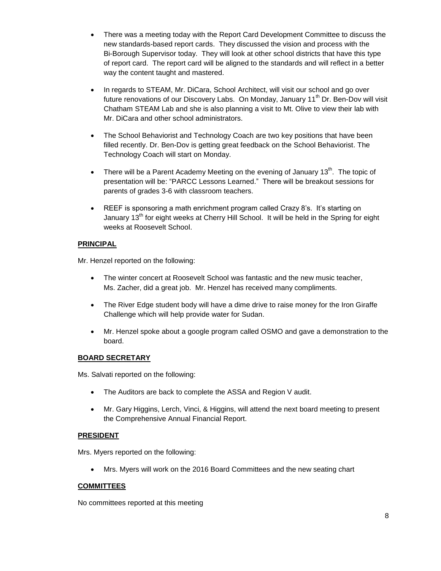- There was a meeting today with the Report Card Development Committee to discuss the new standards-based report cards. They discussed the vision and process with the Bi-Borough Supervisor today. They will look at other school districts that have this type of report card. The report card will be aligned to the standards and will reflect in a better way the content taught and mastered.
- In regards to STEAM, Mr. DiCara, School Architect, will visit our school and go over future renovations of our Discovery Labs. On Monday, January 11<sup>th</sup> Dr. Ben-Dov will visit Chatham STEAM Lab and she is also planning a visit to Mt. Olive to view their lab with Mr. DiCara and other school administrators.
- The School Behaviorist and Technology Coach are two key positions that have been filled recently. Dr. Ben-Dov is getting great feedback on the School Behaviorist. The Technology Coach will start on Monday.
- **•** There will be a Parent Academy Meeting on the evening of January 13<sup>th</sup>. The topic of presentation will be: "PARCC Lessons Learned." There will be breakout sessions for parents of grades 3-6 with classroom teachers.
- REEF is sponsoring a math enrichment program called Crazy 8's. It's starting on January 13<sup>th</sup> for eight weeks at Cherry Hill School. It will be held in the Spring for eight weeks at Roosevelt School.

# **PRINCIPAL**

Mr. Henzel reported on the following:

- The winter concert at Roosevelt School was fantastic and the new music teacher, Ms. Zacher, did a great job. Mr. Henzel has received many compliments.
- The River Edge student body will have a dime drive to raise money for the Iron Giraffe Challenge which will help provide water for Sudan.
- Mr. Henzel spoke about a google program called OSMO and gave a demonstration to the board.

### **BOARD SECRETARY**

Ms. Salvati reported on the following:

- The Auditors are back to complete the ASSA and Region V audit.
- Mr. Gary Higgins, Lerch, Vinci, & Higgins, will attend the next board meeting to present the Comprehensive Annual Financial Report.

### **PRESIDENT**

Mrs. Myers reported on the following:

Mrs. Myers will work on the 2016 Board Committees and the new seating chart

### **COMMITTEES**

No committees reported at this meeting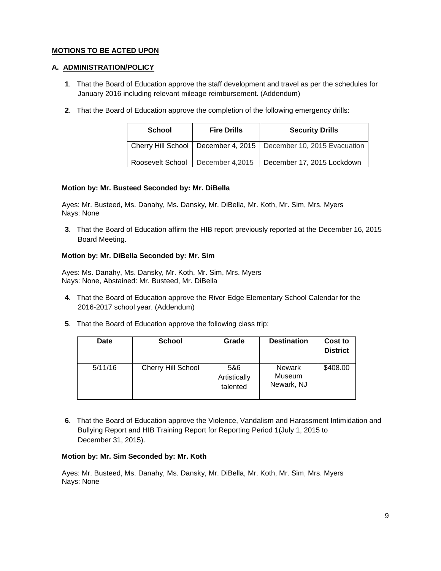# **MOTIONS TO BE ACTED UPON**

# **A. ADMINISTRATION/POLICY**

- **1**. That the Board of Education approve the staff development and travel as per the schedules for January 2016 including relevant mileage reimbursement. (Addendum)
- **2**. That the Board of Education approve the completion of the following emergency drills:

| <b>School</b>    | <b>Fire Drills</b> | <b>Security Drills</b>                                               |
|------------------|--------------------|----------------------------------------------------------------------|
|                  |                    | Cherry Hill School   December 4, 2015   December 10, 2015 Evacuation |
| Roosevelt School | December 4,2015    | December 17, 2015 Lockdown                                           |

### **Motion by: Mr. Busteed Seconded by: Mr. DiBella**

 Ayes: Mr. Busteed, Ms. Danahy, Ms. Dansky, Mr. DiBella, Mr. Koth, Mr. Sim, Mrs. Myers Nays: None

**3**. That the Board of Education affirm the HIB report previously reported at the December 16, 2015 Board Meeting.

# **Motion by: Mr. DiBella Seconded by: Mr. Sim**

 Ayes: Ms. Danahy, Ms. Dansky, Mr. Koth, Mr. Sim, Mrs. Myers Nays: None, Abstained: Mr. Busteed, Mr. DiBella

- **4**. That the Board of Education approve the River Edge Elementary School Calendar for the 2016-2017 school year. (Addendum)
- **5**. That the Board of Education approve the following class trip:

| Date    | <b>School</b>      | Grade                           | <b>Destination</b>                    | Cost to<br><b>District</b> |
|---------|--------------------|---------------------------------|---------------------------------------|----------------------------|
| 5/11/16 | Cherry Hill School | 5&6<br>Artistically<br>talented | <b>Newark</b><br>Museum<br>Newark, NJ | \$408.00                   |

**6**. That the Board of Education approve the Violence, Vandalism and Harassment Intimidation and Bullying Report and HIB Training Report for Reporting Period 1(July 1, 2015 to December 31, 2015).

### **Motion by: Mr. Sim Seconded by: Mr. Koth**

 Ayes: Mr. Busteed, Ms. Danahy, Ms. Dansky, Mr. DiBella, Mr. Koth, Mr. Sim, Mrs. Myers Nays: None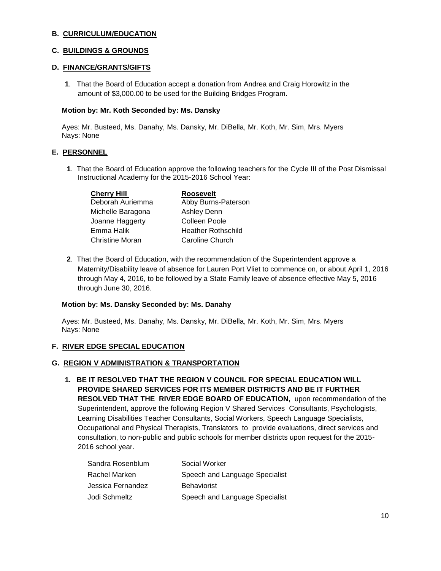### **B. CURRICULUM/EDUCATION**

# **C. BUILDINGS & GROUNDS**

### **D. FINANCE/GRANTS/GIFTS**

**1**. That the Board of Education accept a donation from Andrea and Craig Horowitz in the amount of \$3,000.00 to be used for the Building Bridges Program.

### **Motion by: Mr. Koth Seconded by: Ms. Dansky**

 Ayes: Mr. Busteed, Ms. Danahy, Ms. Dansky, Mr. DiBella, Mr. Koth, Mr. Sim, Mrs. Myers Nays: None

### **E. PERSONNEL**

**1**. That the Board of Education approve the following teachers for the Cycle III of the Post Dismissal Instructional Academy for the 2015-2016 School Year:

| <b>Roosevelt</b>          |
|---------------------------|
| Abby Burns-Paterson       |
| <b>Ashley Denn</b>        |
| Colleen Poole             |
| <b>Heather Rothschild</b> |
| Caroline Church           |
|                           |

**2**. That the Board of Education, with the recommendation of the Superintendent approve a Maternity/Disability leave of absence for Lauren Port Vliet to commence on, or about April 1, 2016 through May 4, 2016, to be followed by a State Family leave of absence effective May 5, 2016 through June 30, 2016.

#### **Motion by: Ms. Dansky Seconded by: Ms. Danahy**

 Ayes: Mr. Busteed, Ms. Danahy, Ms. Dansky, Mr. DiBella, Mr. Koth, Mr. Sim, Mrs. Myers Nays: None

### **F. RIVER EDGE SPECIAL EDUCATION**

#### **G. REGION V ADMINISTRATION & TRANSPORTATION**

**1. BE IT RESOLVED THAT THE REGION V COUNCIL FOR SPECIAL EDUCATION WILL PROVIDE SHARED SERVICES FOR ITS MEMBER DISTRICTS AND BE IT FURTHER RESOLVED THAT THE RIVER EDGE BOARD OF EDUCATION,** upon recommendation of the Superintendent, approve the following Region V Shared Services Consultants, Psychologists, Learning Disabilities Teacher Consultants, Social Workers, Speech Language Specialists, Occupational and Physical Therapists, Translators to provide evaluations, direct services and consultation, to non-public and public schools for member districts upon request for the 2015- 2016 school year.

| Sandra Rosenblum  | Social Worker                  |
|-------------------|--------------------------------|
| Rachel Marken     | Speech and Language Specialist |
| Jessica Fernandez | <b>Behaviorist</b>             |
| Jodi Schmeltz     | Speech and Language Specialist |